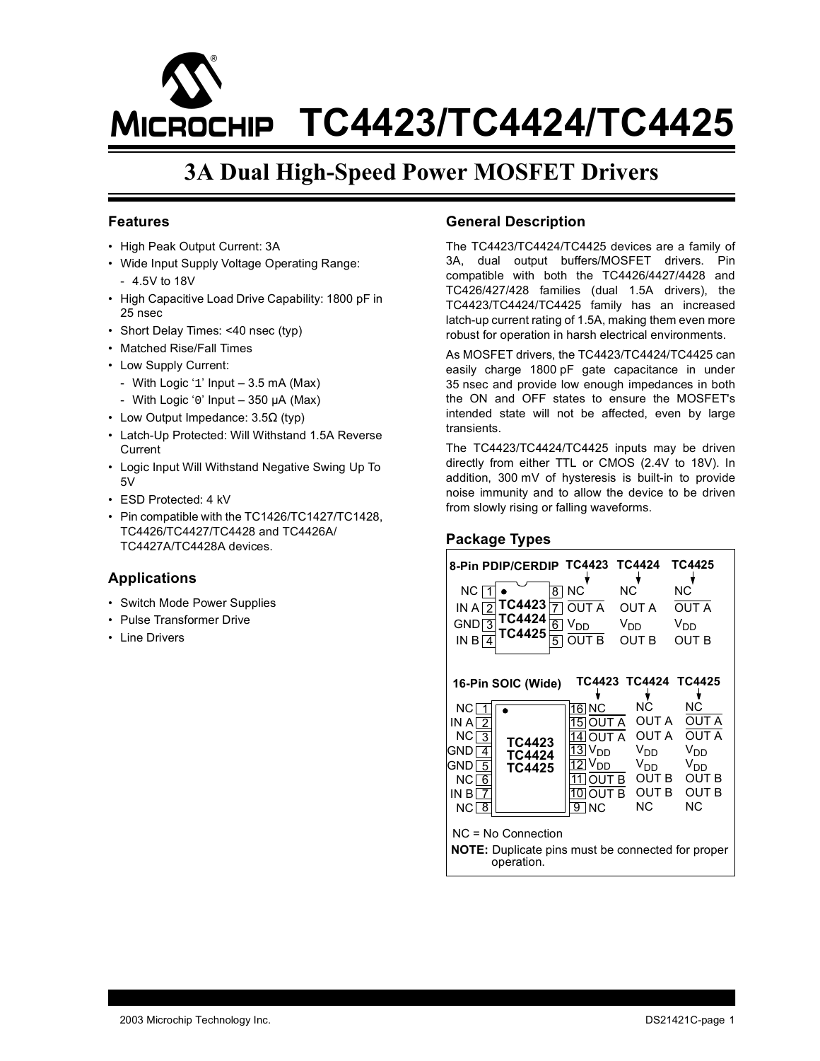

## **3A Dual High-Speed Power MOSFET Drivers**

#### **Features**

- High Peak Output Current: 3A
- Wide Input Supply Voltage Operating Range: - 4.5V to 18V
- High Capacitive Load Drive Capability: 1800 pF in 25 nsec
- Short Delay Times: <40 nsec (typ)
- Matched Rise/Fall Times
- Low Supply Current:
	- With Logic  $1'$  Input 3.5 mA (Max)
- With Logic '0' Input 350 µA (Max)
- Low Output Impedance:  $3.5\Omega$  (typ)
- Latch-Up Protected: Will Withstand 1.5A Reverse **Current**
- Logic Input Will Withstand Negative Swing Up To 5V
- ESD Protected: 4 kV
- Pin compatible with the TC1426/TC1427/TC1428, TC4426/TC4427/TC4428 and TC4426A/ TC4427A/TC4428A devices.

#### **Applications**

- Switch Mode Power Supplies
- Pulse Transformer Drive
- Line Drivers

#### **General Description**

The TC4423/TC4424/TC4425 devices are a family of 3A, dual output buffers/MOSFET drivers. Pin compatible with both the TC4426/4427/4428 and TC426/427/428 families (dual 1.5A drivers), the TC4423/TC4424/TC4425 family has an increased latch-up current rating of 1.5A, making them even more robust for operation in harsh electrical environments.

As MOSFET drivers, the TC4423/TC4424/TC4425 can easily charge 1800 pF gate capacitance in under 35 nsec and provide low enough impedances in both the ON and OFF states to ensure the MOSFET's intended state will not be affected, even by large transients.

The TC4423/TC4424/TC4425 inputs may be driven directly from either TTL or CMOS (2.4V to 18V). In addition, 300 mV of hysteresis is built-in to provide noise immunity and to allow the device to be driven from slowly rising or falling waveforms.

#### **Package Types**

| 8-Pin PDIP/CERDIP TC4423 TC4424                                                                                  |                                                                                                                                        |                                                                        | TC4425                                                                             |  |  |  |
|------------------------------------------------------------------------------------------------------------------|----------------------------------------------------------------------------------------------------------------------------------------|------------------------------------------------------------------------|------------------------------------------------------------------------------------|--|--|--|
| NC L<br>8<br>TC4423<br>INAI2<br>TC4424<br>61<br>GND <sub>3</sub><br>TC4425<br>IN B $\overline{14}$<br>5          | ΝC<br><b>OUT A</b><br>V <sub>DD</sub><br>OUT B                                                                                         | NC.<br>OUT A<br>V <sub>DD</sub><br>OUT B                               | ΝC<br>OUT A<br>V <sub>DD</sub><br>OUT B                                            |  |  |  |
| 16-Pin SOIC (Wide)                                                                                               |                                                                                                                                        |                                                                        | TC4423 TC4424 TC4425                                                               |  |  |  |
| NC <sub>1</sub><br>IN A 2<br>NCI 3<br>TC4423<br>GNDL<br>TC4424<br>GNDI 5<br>TC4425<br>NCF6<br>IN BI 7<br>$NCI$ 8 | 16 NC<br>15 OUT A<br><b>OUT A</b><br>$\overline{13}$ V <sub>DD</sub><br>12 V <sub>DD</sub><br>OUT B<br><b>OUT B</b><br>9<br><b>INC</b> | NC.<br>OUT A<br>OUT A<br>$V_{DD}$<br>$V_{DD}$<br>OUT B<br>OUT B<br>NC. | ΝC<br>OUT A<br>OUT A<br>V <sub>DD</sub><br>V <sub>DD</sub><br>OUT B<br>OUT B<br>ΝC |  |  |  |
| $NC = No$ Connection<br><b>NOTE:</b> Duplicate pins must be connected for proper<br>operation.                   |                                                                                                                                        |                                                                        |                                                                                    |  |  |  |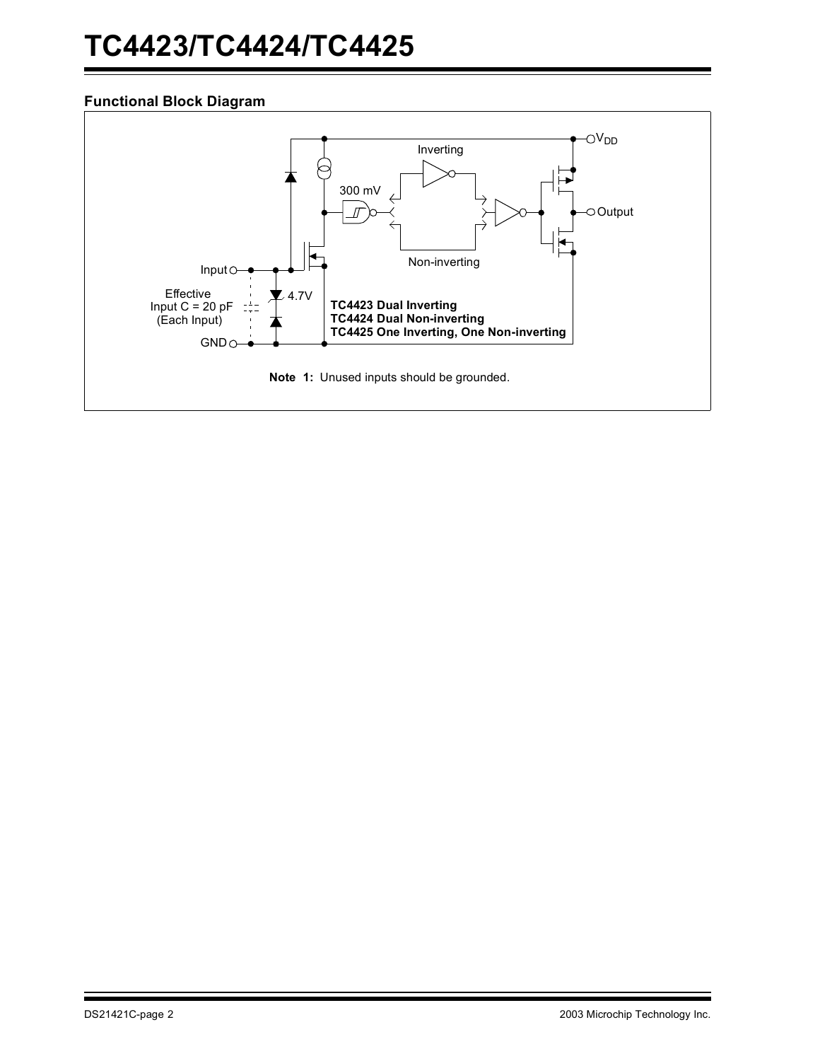### **Functional Block Diagram**

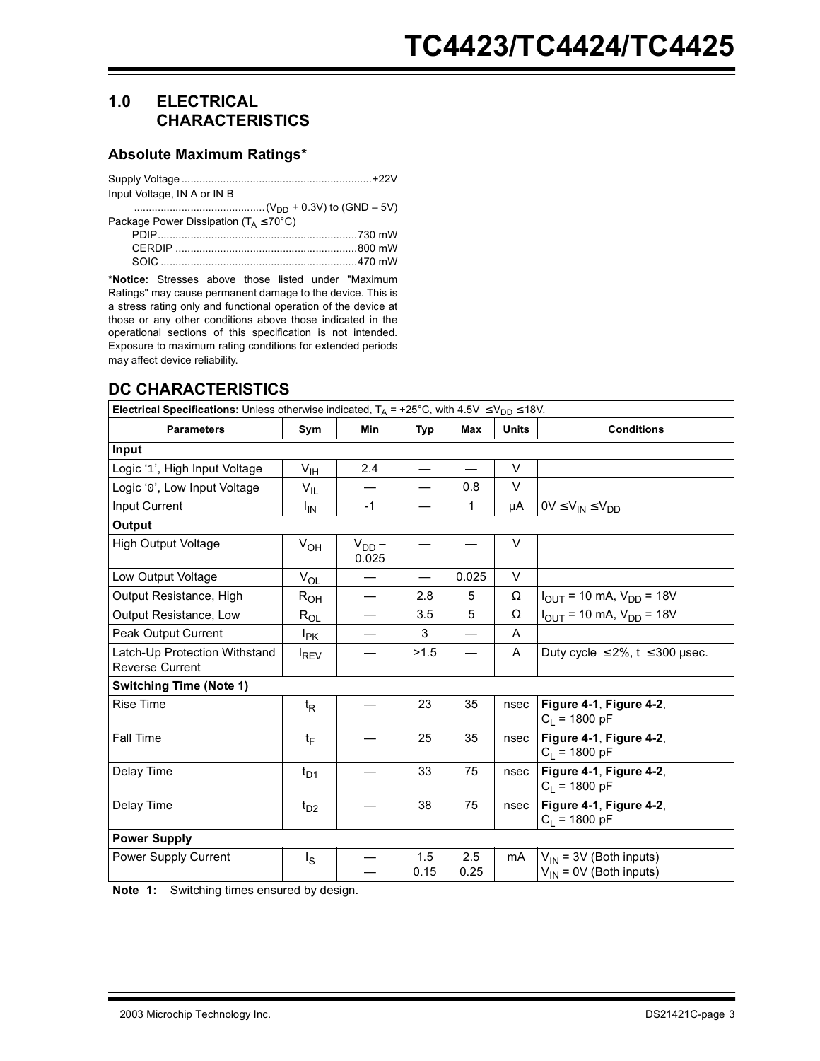## **1.0 ELECTRICAL CHARACTERISTICS**

#### **Absolute Maximum Ratings\***

| Input Voltage, IN A or IN B                         |  |  |                                                      |
|-----------------------------------------------------|--|--|------------------------------------------------------|
|                                                     |  |  |                                                      |
| Package Power Dissipation ( $T_A \le 70^{\circ}$ C) |  |  |                                                      |
|                                                     |  |  |                                                      |
|                                                     |  |  |                                                      |
|                                                     |  |  |                                                      |
|                                                     |  |  | *Natica: Strasses above those listed under "Maximum" |

\***Notice:** Stresses above those listed under "Maximum Ratings" may cause permanent damage to the device. This is a stress rating only and functional operation of the device at those or any other conditions above those indicated in the operational sections of this specification is not intended. Exposure to maximum rating conditions for extended periods may affect device reliability.

## **DC CHARACTERISTICS**

| Electrical Specifications: Unless otherwise indicated, $T_A$ = +25°C, with 4.5V $\leq$ V <sub>DD</sub> $\leq$ 18V. |                   |                     |                          |                 |              |                                                            |  |  |
|--------------------------------------------------------------------------------------------------------------------|-------------------|---------------------|--------------------------|-----------------|--------------|------------------------------------------------------------|--|--|
| <b>Parameters</b>                                                                                                  | Sym               | <b>Min</b>          | Typ                      | Max             | <b>Units</b> | <b>Conditions</b>                                          |  |  |
| Input                                                                                                              |                   |                     |                          |                 |              |                                                            |  |  |
| Logic '1', High Input Voltage                                                                                      | $V_{\text{IH}}$   | 2.4                 | $\overline{\phantom{0}}$ | $\qquad \qquad$ | $\vee$       |                                                            |  |  |
| Logic '0', Low Input Voltage                                                                                       | $V_{IL}$          |                     |                          | 0.8             | V            |                                                            |  |  |
| Input Current                                                                                                      | ΙM                | $-1$                |                          | 1               | μA           | $OV \leq V_{IN} \leq V_{DD}$                               |  |  |
| Output                                                                                                             |                   |                     |                          |                 |              |                                                            |  |  |
| <b>High Output Voltage</b>                                                                                         | $V_{OH}$          | $V_{DD}$ –<br>0.025 |                          |                 | V            |                                                            |  |  |
| Low Output Voltage                                                                                                 | $V_{OL}$          |                     | $\overline{\phantom{0}}$ | 0.025           | $\vee$       |                                                            |  |  |
| Output Resistance, High                                                                                            | $R_{OH}$          |                     | 2.8                      | 5               | Ω            | $I_{\text{OUT}}$ = 10 mA, $V_{\text{DD}}$ = 18V            |  |  |
| Output Resistance, Low                                                                                             | $R_{OL}$          |                     | 3.5                      | 5               | $\Omega$     | $I_{OUT}$ = 10 mA, $V_{DD}$ = 18V                          |  |  |
| Peak Output Current                                                                                                | $I_{\mathsf{PK}}$ |                     | 3                        |                 | A            |                                                            |  |  |
| Latch-Up Protection Withstand<br><b>Reverse Current</b>                                                            | <b>IREV</b>       |                     | >1.5                     |                 | A            | Duty cycle $\leq 2\%$ , $t \leq 300$ usec.                 |  |  |
| <b>Switching Time (Note 1)</b>                                                                                     |                   |                     |                          |                 |              |                                                            |  |  |
| <b>Rise Time</b>                                                                                                   | $t_{\mathsf{R}}$  |                     | 23                       | 35              | nsec         | Figure 4-1, Figure 4-2,<br>$C_1$ = 1800 pF                 |  |  |
| Fall Time                                                                                                          | $t_F$             |                     | 25                       | 35              | nsec         | Figure 4-1, Figure 4-2,<br>$C_1$ = 1800 pF                 |  |  |
| Delay Time                                                                                                         | $t_{D1}$          |                     | 33                       | 75              | nsec         | Figure 4-1, Figure 4-2,<br>$C_1$ = 1800 pF                 |  |  |
| Delay Time                                                                                                         | $t_{D2}$          |                     | 38                       | 75              | nsec         | Figure 4-1, Figure 4-2,<br>$C_1$ = 1800 pF                 |  |  |
| <b>Power Supply</b>                                                                                                |                   |                     |                          |                 |              |                                                            |  |  |
| Power Supply Current                                                                                               | $I_{\rm S}$       |                     | 1.5<br>0.15              | 2.5<br>0.25     | mA           | $V_{IN}$ = 3V (Both inputs)<br>$V_{IN}$ = 0V (Both inputs) |  |  |

<span id="page-2-0"></span>**Note 1:** Switching times ensured by design.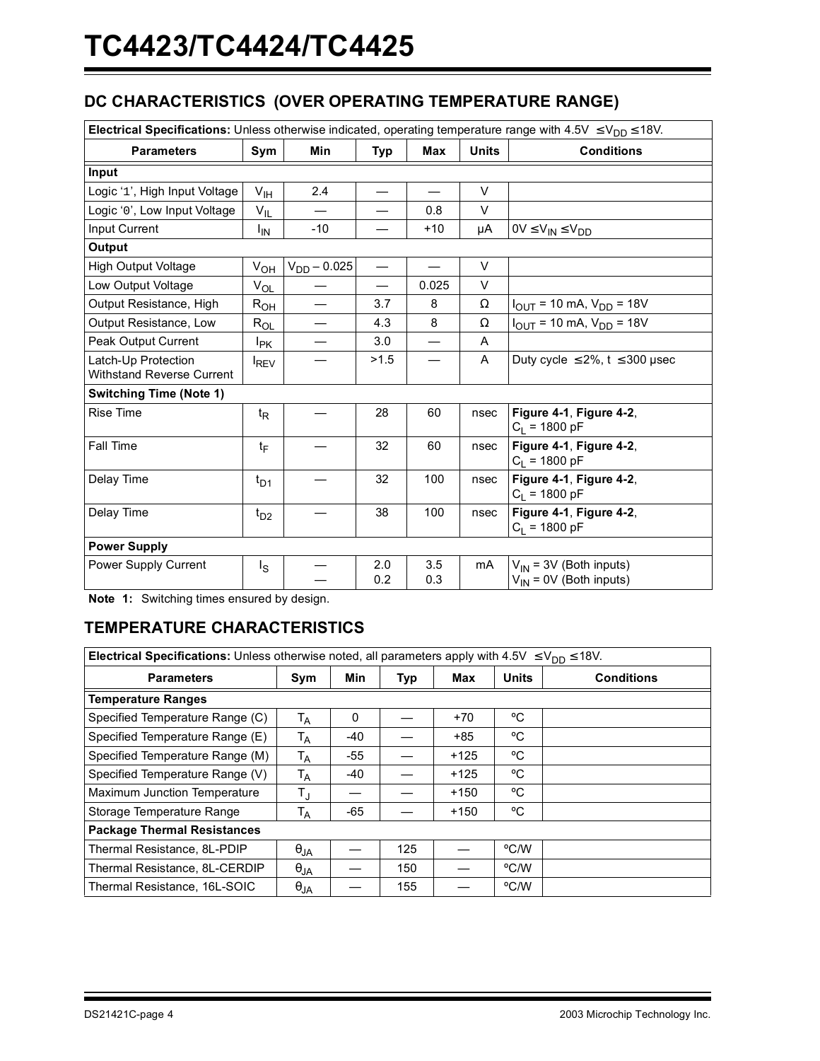## **DC CHARACTERISTICS (OVER OPERATING TEMPERATURE RANGE)**

| Electrical Specifications: Unless otherwise indicated, operating temperature range with $4.5V \le V_{DD} \le 18V$ . |                  |                  |                          |                          |              |                                                            |  |  |
|---------------------------------------------------------------------------------------------------------------------|------------------|------------------|--------------------------|--------------------------|--------------|------------------------------------------------------------|--|--|
| <b>Parameters</b>                                                                                                   | Sym              | Min              | <b>Typ</b>               | <b>Max</b>               | <b>Units</b> | <b>Conditions</b>                                          |  |  |
| Input                                                                                                               |                  |                  |                          |                          |              |                                                            |  |  |
| Logic '1', High Input Voltage                                                                                       | $V_{\text{IH}}$  | 2.4              | $\overline{\phantom{0}}$ |                          | V            |                                                            |  |  |
| Logic '0', Low Input Voltage                                                                                        | $V_{IL}$         |                  |                          | 0.8                      | V            |                                                            |  |  |
| Input Current                                                                                                       | $I_{IN}$         | $-10$            | $\overline{\phantom{a}}$ | $+10$                    | μA           | $OV \leq V_{IN} \leq V_{DD}$                               |  |  |
| Output                                                                                                              |                  |                  |                          |                          |              |                                                            |  |  |
| <b>High Output Voltage</b>                                                                                          | $V_{OH}$         | $V_{DD} - 0.025$ | $\equiv$                 | $\overline{\phantom{0}}$ | V            |                                                            |  |  |
| Low Output Voltage                                                                                                  | $V_{OL}$         |                  | $\overline{\phantom{0}}$ | 0.025                    | V            |                                                            |  |  |
| Output Resistance, High                                                                                             | $R_{OH}$         |                  | 3.7                      | 8                        | $\Omega$     | $I_{OUT}$ = 10 mA, $V_{DD}$ = 18V                          |  |  |
| Output Resistance, Low                                                                                              | $R_{OL}$         |                  | 4.3                      | 8                        | Ω            | $I_{OUT}$ = 10 mA, $V_{DD}$ = 18V                          |  |  |
| Peak Output Current                                                                                                 | l <sub>PK</sub>  |                  | 3.0                      |                          | A            |                                                            |  |  |
| Latch-Up Protection<br><b>Withstand Reverse Current</b>                                                             | <sup>I</sup> REV |                  | >1.5                     |                          | A            | Duty cycle $\leq 2\%$ , t $\leq 300$ µsec                  |  |  |
| <b>Switching Time (Note 1)</b>                                                                                      |                  |                  |                          |                          |              |                                                            |  |  |
| <b>Rise Time</b>                                                                                                    | $t_{\mathsf{R}}$ |                  | 28                       | 60                       | nsec         | Figure 4-1, Figure 4-2,<br>$C_L$ = 1800 pF                 |  |  |
| Fall Time                                                                                                           | $t_F$            |                  | 32                       | 60                       | nsec         | Figure 4-1, Figure 4-2,<br>$C_1$ = 1800 pF                 |  |  |
| Delay Time                                                                                                          | $t_{D1}$         |                  | 32                       | 100                      | nsec         | Figure 4-1, Figure 4-2,<br>$C_L$ = 1800 pF                 |  |  |
| Delay Time                                                                                                          | $t_{D2}$         |                  | 38                       | 100                      | nsec         | Figure 4-1, Figure 4-2,<br>$C_L$ = 1800 pF                 |  |  |
| <b>Power Supply</b>                                                                                                 |                  |                  |                          |                          |              |                                                            |  |  |
| Power Supply Current                                                                                                | $I_{\rm S}$      |                  | 2.0<br>0.2               | 3.5<br>0.3               | mA           | $V_{IN}$ = 3V (Both inputs)<br>$V_{IN}$ = 0V (Both inputs) |  |  |

<span id="page-3-0"></span>**Note 1:** Switching times ensured by design.

## **TEMPERATURE CHARACTERISTICS**

| <b>Electrical Specifications:</b> Unless otherwise noted, all parameters apply with $4.5V \le V_{DD} \le 18V$ . |                |          |            |        |              |                   |
|-----------------------------------------------------------------------------------------------------------------|----------------|----------|------------|--------|--------------|-------------------|
| <b>Parameters</b>                                                                                               | Sym            | Min      | <b>Typ</b> | Max    | <b>Units</b> | <b>Conditions</b> |
| <b>Temperature Ranges</b>                                                                                       |                |          |            |        |              |                   |
| Specified Temperature Range (C)                                                                                 | $T_A$          | $\Omega$ |            | $+70$  | °C           |                   |
| Specified Temperature Range (E)                                                                                 | $T_A$          | $-40$    |            | $+85$  | °C           |                   |
| Specified Temperature Range (M)                                                                                 | $T_A$          | -55      |            | $+125$ | °C           |                   |
| Specified Temperature Range (V)                                                                                 | $T_A$          | $-40$    |            | $+125$ | °C           |                   |
| Maximum Junction Temperature                                                                                    | Т.,            |          |            | $+150$ | °C           |                   |
| Storage Temperature Range                                                                                       | Т <sub>А</sub> | -65      |            | $+150$ | °C           |                   |
| <b>Package Thermal Resistances</b>                                                                              |                |          |            |        |              |                   |
| Thermal Resistance, 8L-PDIP                                                                                     | $\theta_{JA}$  |          | 125        |        | °C/W         |                   |
| Thermal Resistance, 8L-CERDIP                                                                                   | $\theta_{JA}$  |          | 150        |        | °C/W         |                   |
| Thermal Resistance, 16L-SOIC                                                                                    | $\theta_{JA}$  |          | 155        |        | °C/W         |                   |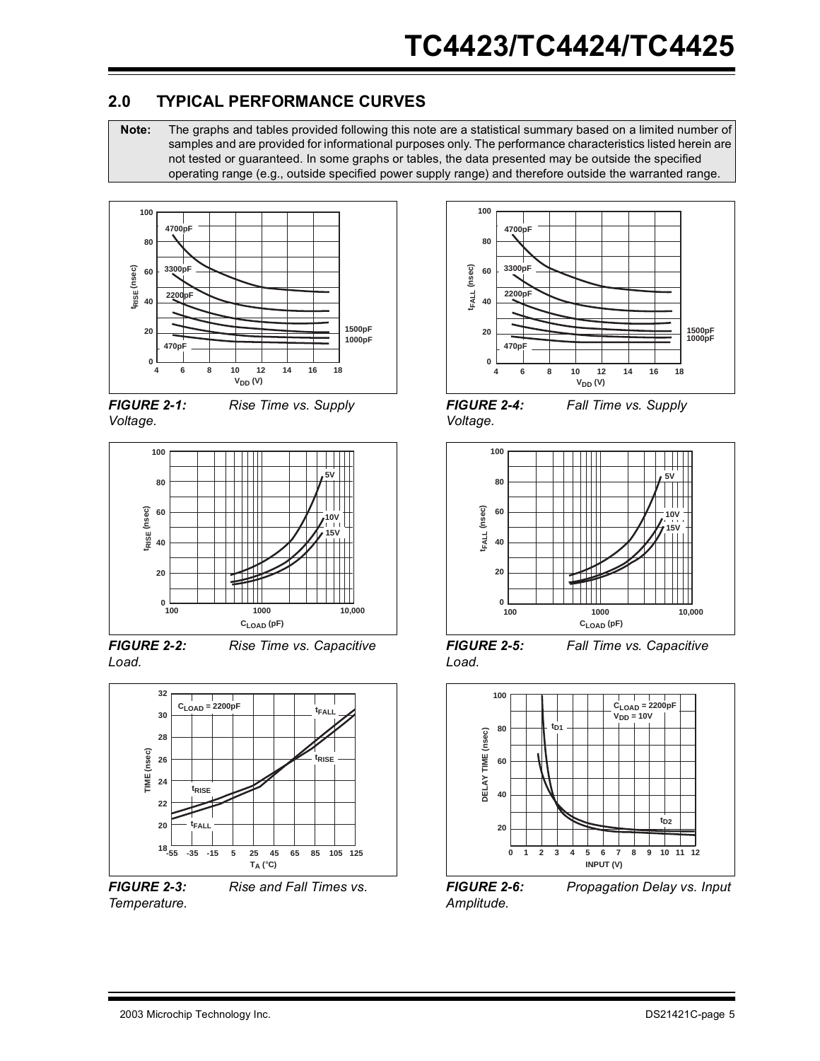## **2.0 TYPICAL PERFORMANCE CURVES**

**Note:** The graphs and tables provided following this note are a statistical summary based on a limited number of samples and are provided for informational purposes only. The performance characteristics listed herein are not tested or guaranteed. In some graphs or tables, the data presented may be outside the specified operating range (e.g., outside specified power supply range) and therefore outside the warranted range.







*FIGURE 2-2: Rise Time vs. Capacitive Load.*



*Temperature.*

*FIGURE 2-3: Rise and Fall Times vs.* 



*FIGURE 2-4: Fall Time vs. Supply Voltage.*



*FIGURE 2-5: Fall Time vs. Capacitive Load.*



## *Amplitude.*

*FIGURE 2-6: Propagation Delay vs. Input*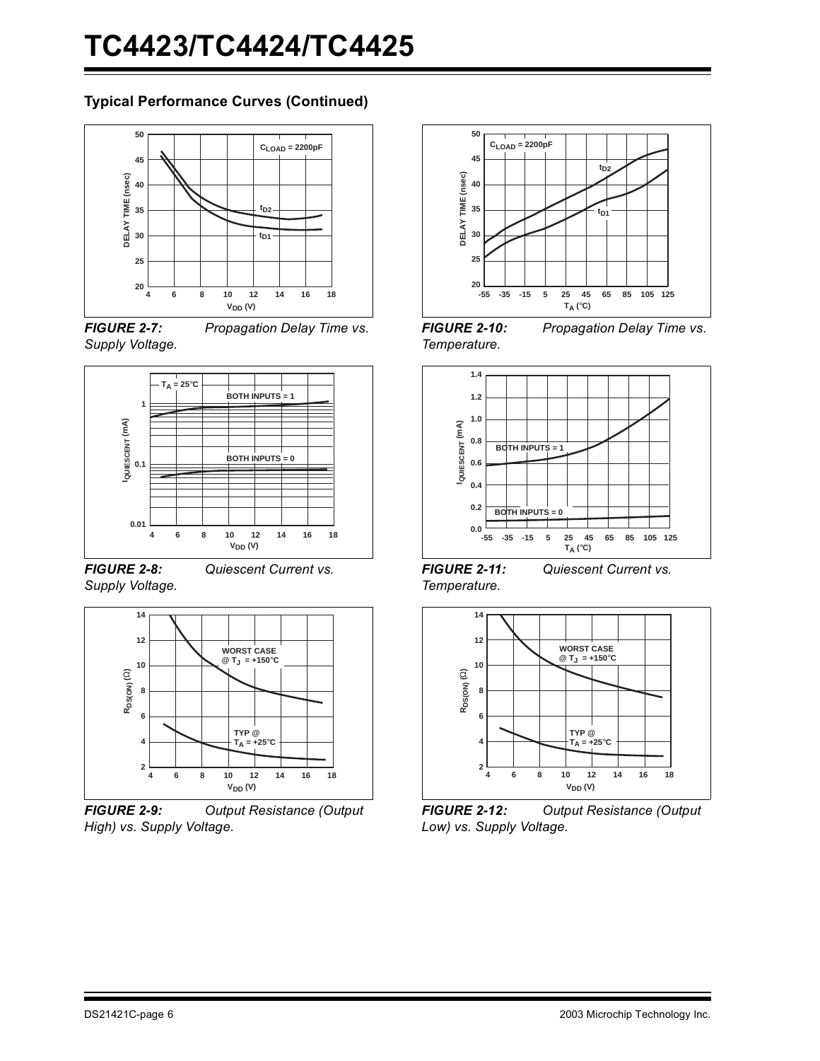## **Typical Performance Curves (Continued)**



*FIGURE 2-7: Propagation Delay Time vs. Supply Voltage.*



*FIGURE 2-8: Quiescent Current vs. Supply Voltage.*



*FIGURE 2-9: Output Resistance (Output High) vs. Supply Voltage.*



*FIGURE 2-10: Propagation Delay Time vs. Temperature.*



*FIGURE 2-11: Quiescent Current vs. Temperature.*



*FIGURE 2-12: Output Resistance (Output Low) vs. Supply Voltage.*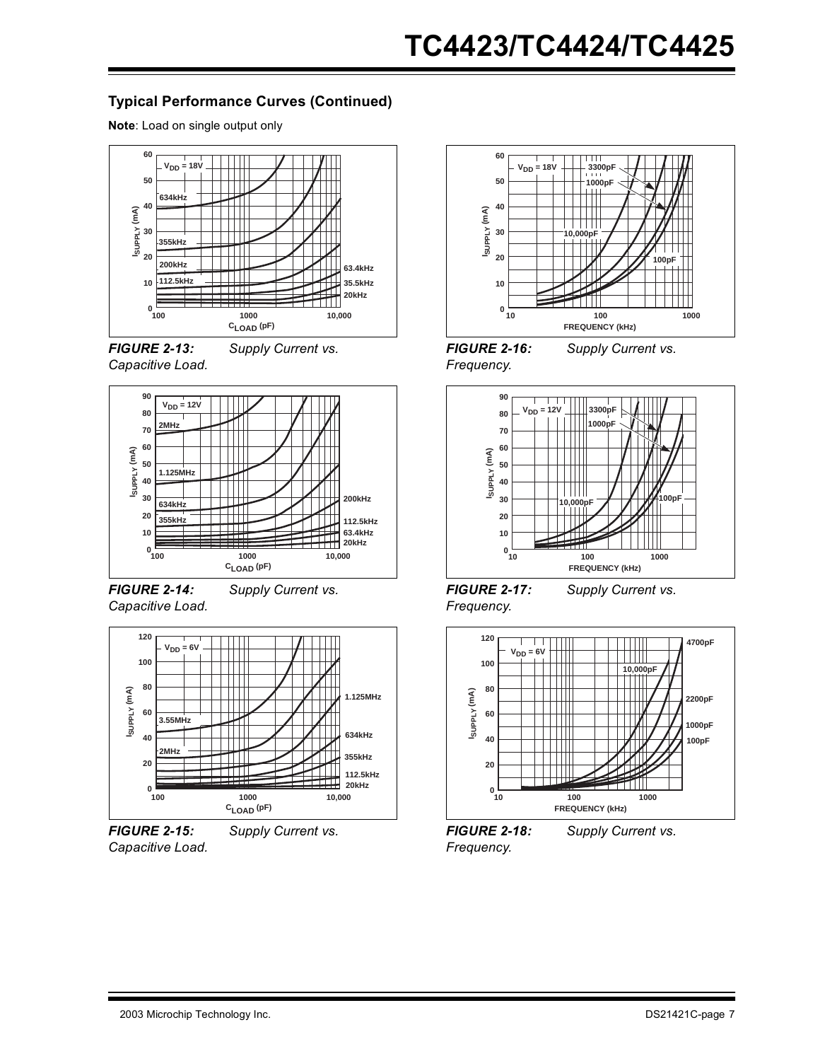### **Typical Performance Curves (Continued)**

**Note**: Load on single output only







*FIGURE 2-14: Supply Current vs. Capacitive Load.*



*FIGURE 2-15: Supply Current vs. Capacitive Load.*



*FIGURE 2-16: Supply Current vs. Frequency.*



*FIGURE 2-17: Supply Current vs. Frequency.*



*Frequency.*

*FIGURE 2-18: Supply Current vs.*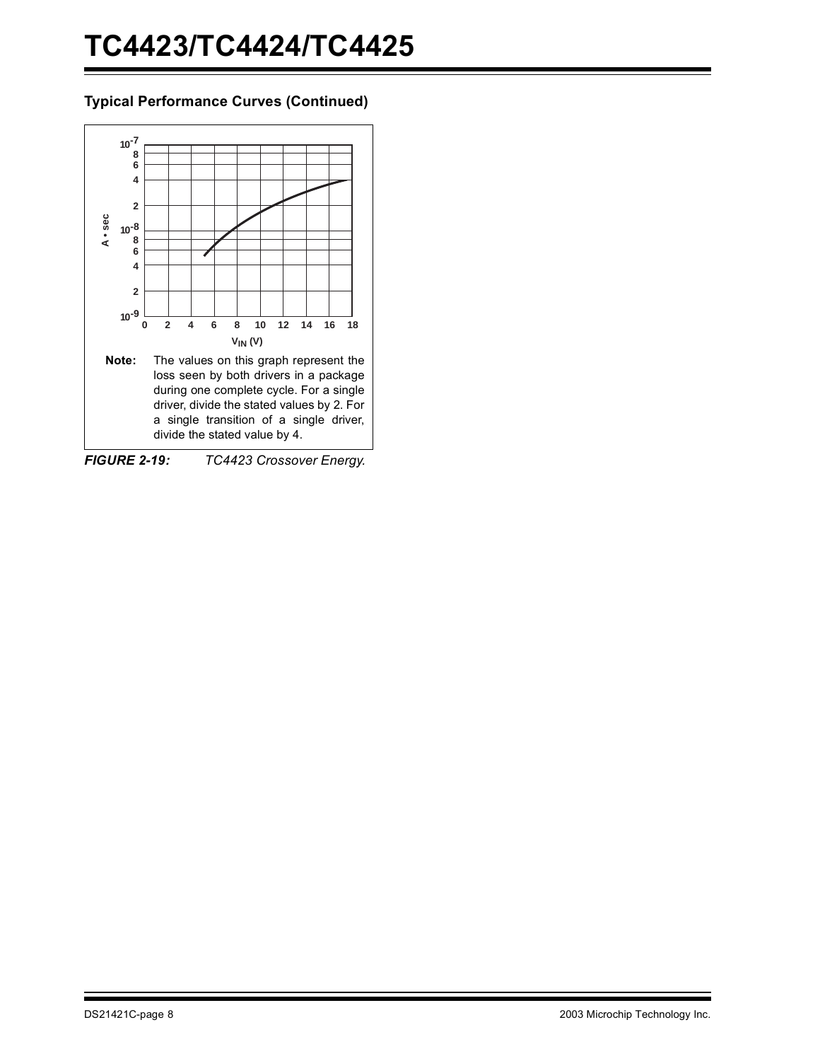## **Typical Performance Curves (Continued)**



*FIGURE 2-19: TC4423 Crossover Energy.*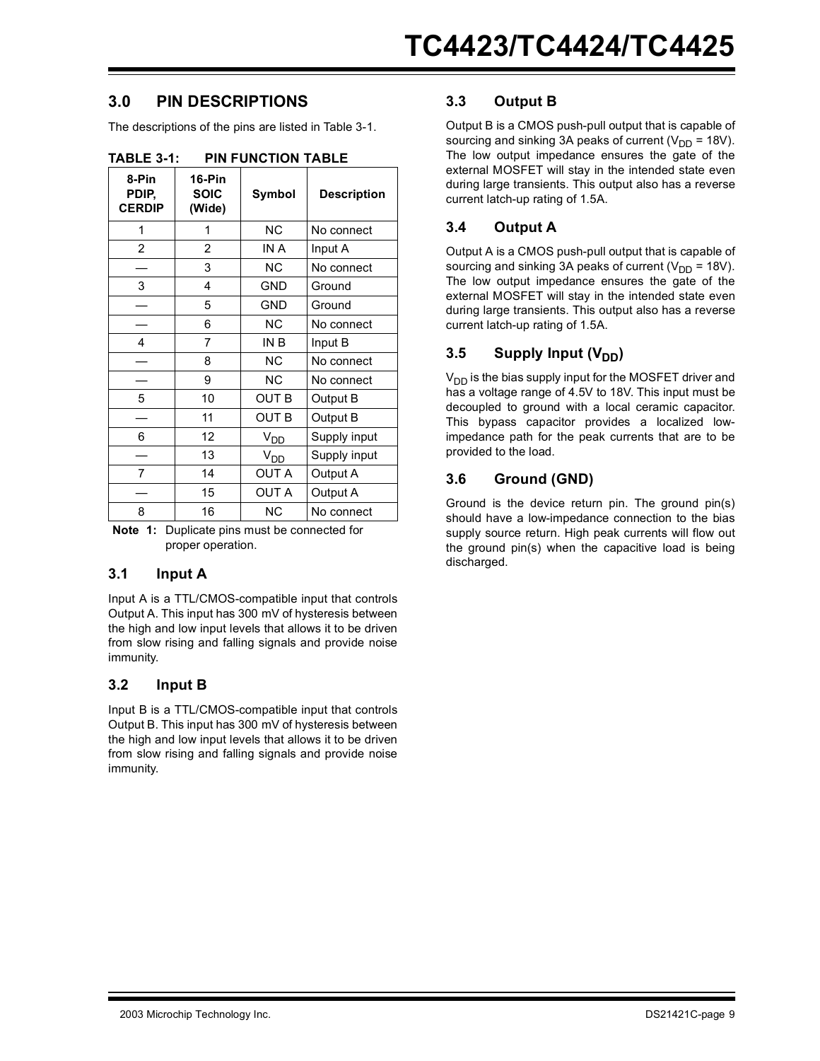## **3.0 PIN DESCRIPTIONS**

The descriptions of the pins are listed in [Table 3-1.](#page-8-0)

|                                 |                                   | . <i>. .</i>         |                    |  |  |  |
|---------------------------------|-----------------------------------|----------------------|--------------------|--|--|--|
| 8-Pin<br>PDIP,<br><b>CERDIP</b> | $16-Pin$<br><b>SOIC</b><br>(Wide) | Symbol               | <b>Description</b> |  |  |  |
| 1                               | 1                                 | <b>NC</b>            | No connect         |  |  |  |
| $\overline{2}$                  | $\overline{2}$                    | IN A                 | Input A            |  |  |  |
|                                 | 3                                 | <b>NC</b>            | No connect         |  |  |  |
| 3                               | 4                                 | <b>GND</b>           | Ground             |  |  |  |
|                                 | 5                                 | <b>GND</b>           | Ground             |  |  |  |
|                                 | 6                                 | <b>NC</b>            | No connect         |  |  |  |
| 4                               | 7                                 | IN B                 | Input B            |  |  |  |
|                                 | 8                                 | <b>NC</b>            | No connect         |  |  |  |
|                                 | 9                                 | <b>NC</b>            | No connect         |  |  |  |
| 5                               | 10                                | <b>OUT B</b>         | Output B           |  |  |  |
|                                 | 11                                | OUT B                | Output B           |  |  |  |
| 6                               | 12                                | $V_{DD}$             | Supply input       |  |  |  |
|                                 | 13                                | $V_{D\underline{D}}$ | Supply input       |  |  |  |
| 7                               | 14                                | OUT A                | Output A           |  |  |  |
|                                 | 15                                | OUT A                | Output A           |  |  |  |
| 8                               | 16                                | <b>NC</b>            | No connect         |  |  |  |

<span id="page-8-0"></span>

| <b>TABLE 3-1:</b> | <b>PIN FUNCTION TABLE</b> |
|-------------------|---------------------------|
|                   |                           |

**Note 1:** Duplicate pins must be connected for proper operation.

### **3.1 Input A**

Input A is a TTL/CMOS-compatible input that controls Output A. This input has 300 mV of hysteresis between the high and low input levels that allows it to be driven from slow rising and falling signals and provide noise immunity.

### **3.2 Input B**

Input B is a TTL/CMOS-compatible input that controls Output B. This input has 300 mV of hysteresis between the high and low input levels that allows it to be driven from slow rising and falling signals and provide noise immunity.

## **3.3 Output B**

Output B is a CMOS push-pull output that is capable of sourcing and sinking 3A peaks of current ( $V_{DD}$  = 18V). The low output impedance ensures the gate of the external MOSFET will stay in the intended state even during large transients. This output also has a reverse current latch-up rating of 1.5A.

## **3.4 Output A**

Output A is a CMOS push-pull output that is capable of sourcing and sinking 3A peaks of current ( $V_{DD}$  = 18V). The low output impedance ensures the gate of the external MOSFET will stay in the intended state even during large transients. This output also has a reverse current latch-up rating of 1.5A.

## **3.5 Supply Input (V<sub>DD</sub>)**

 $V<sub>DD</sub>$  is the bias supply input for the MOSFET driver and has a voltage range of 4.5V to 18V. This input must be decoupled to ground with a local ceramic capacitor. This bypass capacitor provides a localized lowimpedance path for the peak currents that are to be provided to the load.

## **3.6 Ground (GND)**

Ground is the device return pin. The ground pin(s) should have a low-impedance connection to the bias supply source return. High peak currents will flow out the ground pin(s) when the capacitive load is being discharged.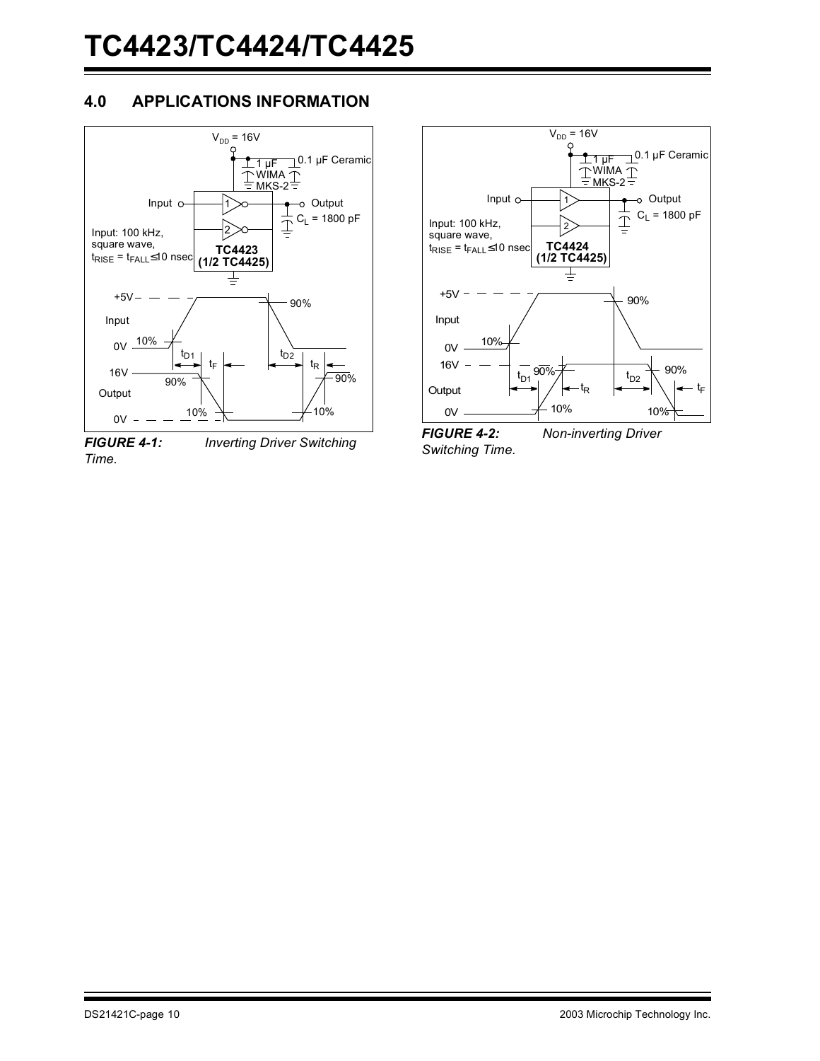## **4.0 APPLICATIONS INFORMATION**



<span id="page-9-0"></span>*FIGURE 4-1: Inverting Driver Switching Time.*



<span id="page-9-1"></span>*FIGURE 4-2: Non-inverting Driver Switching Time.*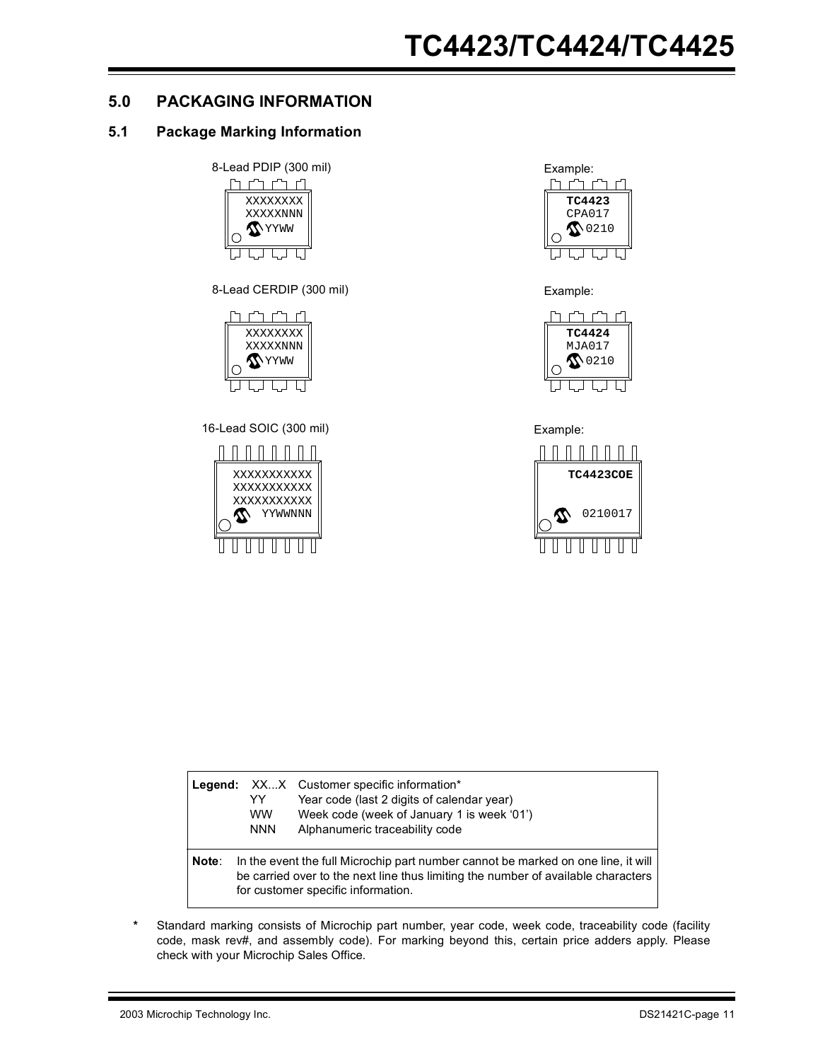## **5.0 PACKAGING INFORMATION**

#### **5.1 Package Marking Information**



8-Lead CERDIP (300 mil) Example:



16-Lead SOIC (300 mil) Example:









|       | YY<br><b>WW</b><br><b>NNN</b>                                                                                                                                                                                | Legend: XXX Customer specific information*<br>Year code (last 2 digits of calendar year)<br>Week code (week of January 1 is week '01')<br>Alphanumeric traceability code |  |  |  |  |  |
|-------|--------------------------------------------------------------------------------------------------------------------------------------------------------------------------------------------------------------|--------------------------------------------------------------------------------------------------------------------------------------------------------------------------|--|--|--|--|--|
| Note: | In the event the full Microchip part number cannot be marked on one line, it will<br>be carried over to the next line thus limiting the number of available characters<br>for customer specific information. |                                                                                                                                                                          |  |  |  |  |  |

**\*** Standard marking consists of Microchip part number, year code, week code, traceability code (facility code, mask rev#, and assembly code). For marking beyond this, certain price adders apply. Please check with your Microchip Sales Office.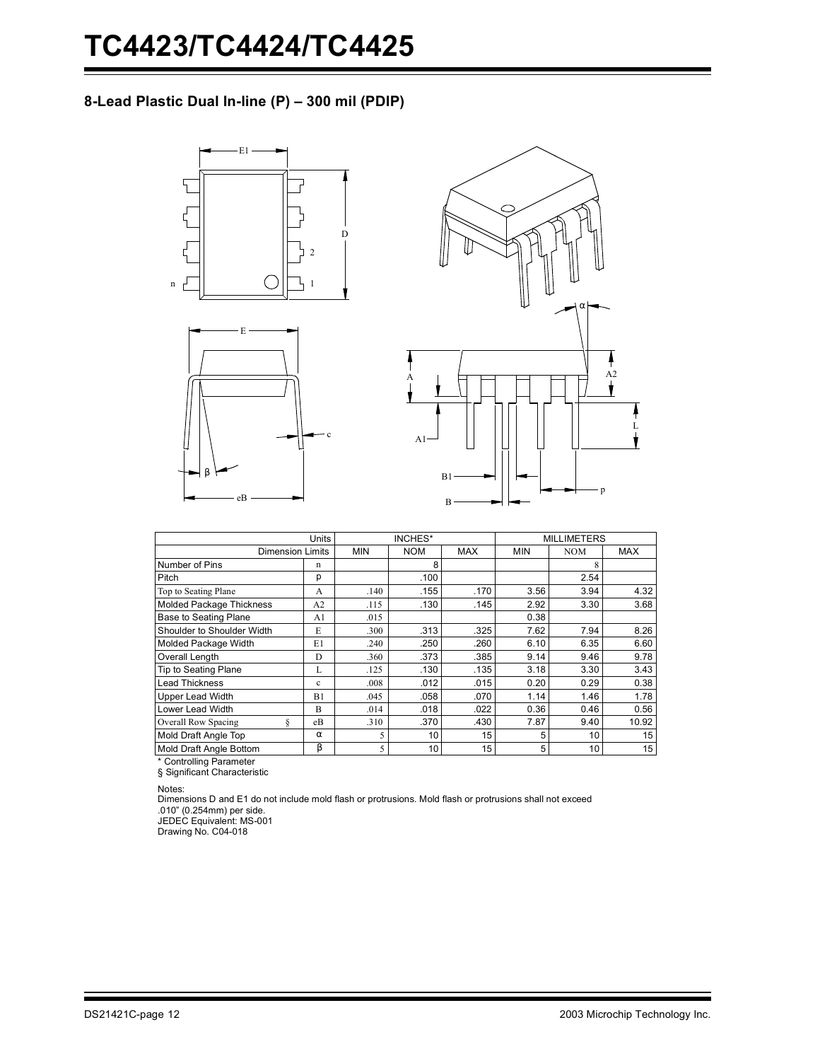## **8-Lead Plastic Dual In-line (P) – 300 mil (PDIP)**







|                                 | Units        | INCHES*    |            |            | <b>MILLIMETERS</b> |            |            |
|---------------------------------|--------------|------------|------------|------------|--------------------|------------|------------|
| <b>Dimension Limits</b>         |              | <b>MIN</b> | <b>NOM</b> | <b>MAX</b> | <b>MIN</b>         | <b>NOM</b> | <b>MAX</b> |
| Number of Pins                  | n            |            | 8          |            |                    |            |            |
| Pitch                           | р            |            | .100       |            |                    | 2.54       |            |
| Top to Seating Plane            | A            | .140       | .155       | .170       | 3.56               | 3.94       | 4.32       |
| <b>Molded Package Thickness</b> | A2           | .115       | .130       | .145       | 2.92               | 3.30       | 3.68       |
| <b>Base to Seating Plane</b>    | A1           | .015       |            |            | 0.38               |            |            |
| Shoulder to Shoulder Width      | E            | .300       | .313       | .325       | 7.62               | 7.94       | 8.26       |
| Molded Package Width            | E1           | .240       | .250       | .260       | 6.10               | 6.35       | 6.60       |
| Overall Length                  | D            | .360       | .373       | .385       | 9.14               | 9.46       | 9.78       |
| <b>Tip to Seating Plane</b>     | L            | .125       | .130       | .135       | 3.18               | 3.30       | 3.43       |
| <b>Lead Thickness</b>           | $\mathbf{c}$ | .008       | .012       | .015       | 0.20               | 0.29       | 0.38       |
| Upper Lead Width                | B1           | .045       | .058       | .070       | 1.14               | 1.46       | 1.78       |
| Lower Lead Width                | B            | .014       | .018       | .022       | 0.36               | 0.46       | 0.56       |
| ş<br>Overall Row Spacing        | eB           | .310       | .370       | .430       | 7.87               | 9.40       | 10.92      |
| Mold Draft Angle Top            | $\alpha$     |            | 10         | 15         | 5                  | 10         | 15         |
| Mold Draft Angle Bottom         | β            | 5          | 10         | 15         | 5                  | 10         | 15         |

\* Controlling Parameter § Significant Characteristic

Notes:

Dimensions D and E1 do not include mold flash or protrusions. Mold flash or protrusions shall not exceed .010" (0.254mm) per side.

JEDEC Equivalent: MS-001

Drawing No. C04-018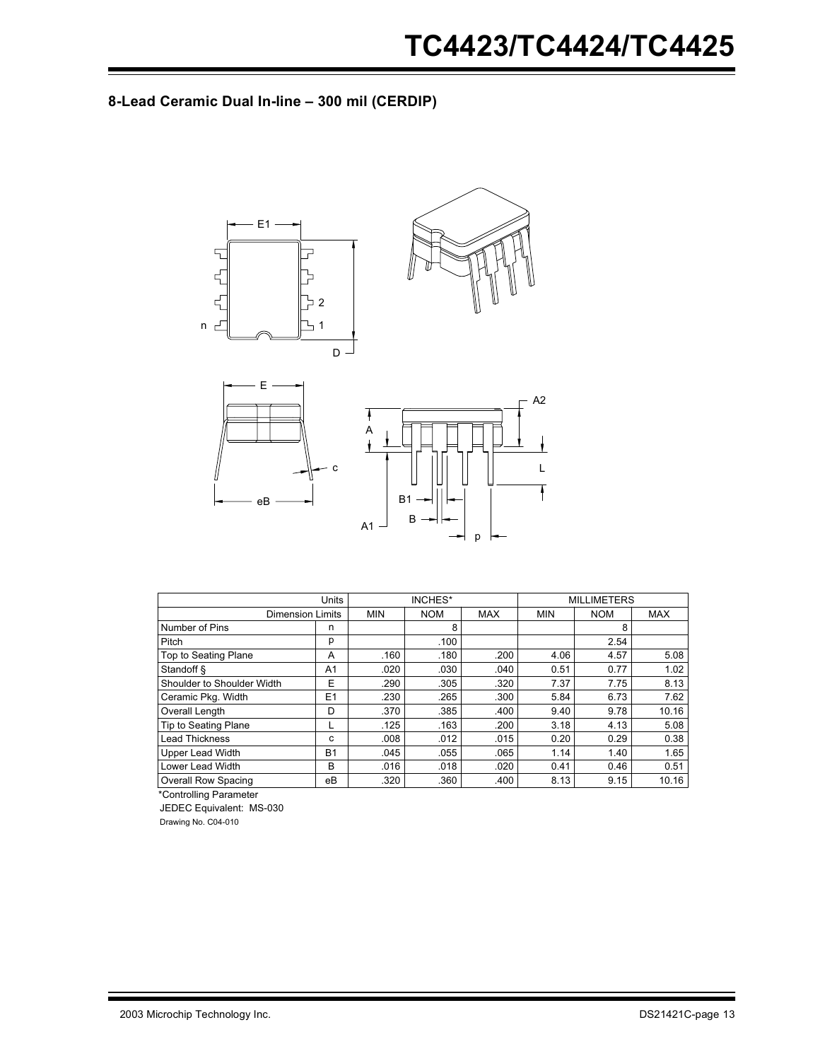## **8-Lead Ceramic Dual In-line – 300 mil (CERDIP)**



|                            | Units          | <b>INCHES*</b> |            |            | <b>MILLIMETERS</b> |            |            |
|----------------------------|----------------|----------------|------------|------------|--------------------|------------|------------|
| <b>Dimension Limits</b>    |                | <b>MIN</b>     | <b>NOM</b> | <b>MAX</b> | <b>MIN</b>         | <b>NOM</b> | <b>MAX</b> |
| Number of Pins             | n              |                | 8          |            |                    | 8          |            |
| Pitch                      | р              |                | .100       |            |                    | 2.54       |            |
| Top to Seating Plane       | A              | .160           | .180       | .200       | 4.06               | 4.57       | 5.08       |
| Standoff §                 | A <sub>1</sub> | .020           | .030       | .040       | 0.51               | 0.77       | 1.02       |
| Shoulder to Shoulder Width | Е              | .290           | .305       | .320       | 7.37               | 7.75       | 8.13       |
| Ceramic Pkg. Width         | E1             | .230           | .265       | .300       | 5.84               | 6.73       | 7.62       |
| Overall Length             | D              | .370           | .385       | .400       | 9.40               | 9.78       | 10.16      |
| Tip to Seating Plane       | L              | .125           | .163       | .200       | 3.18               | 4.13       | 5.08       |
| <b>Lead Thickness</b>      | с              | .008           | .012       | .015       | 0.20               | 0.29       | 0.38       |
| <b>Upper Lead Width</b>    | <b>B1</b>      | .045           | .055       | .065       | 1.14               | 1.40       | 1.65       |
| Lower Lead Width           | в              | .016           | .018       | .020       | 0.41               | 0.46       | 0.51       |
| <b>Overall Row Spacing</b> | еB             | .320           | .360       | .400       | 8.13               | 9.15       | 10.16      |

JEDEC Equivalent: MS-030 \*Controlling Parameter

Drawing No. C04-010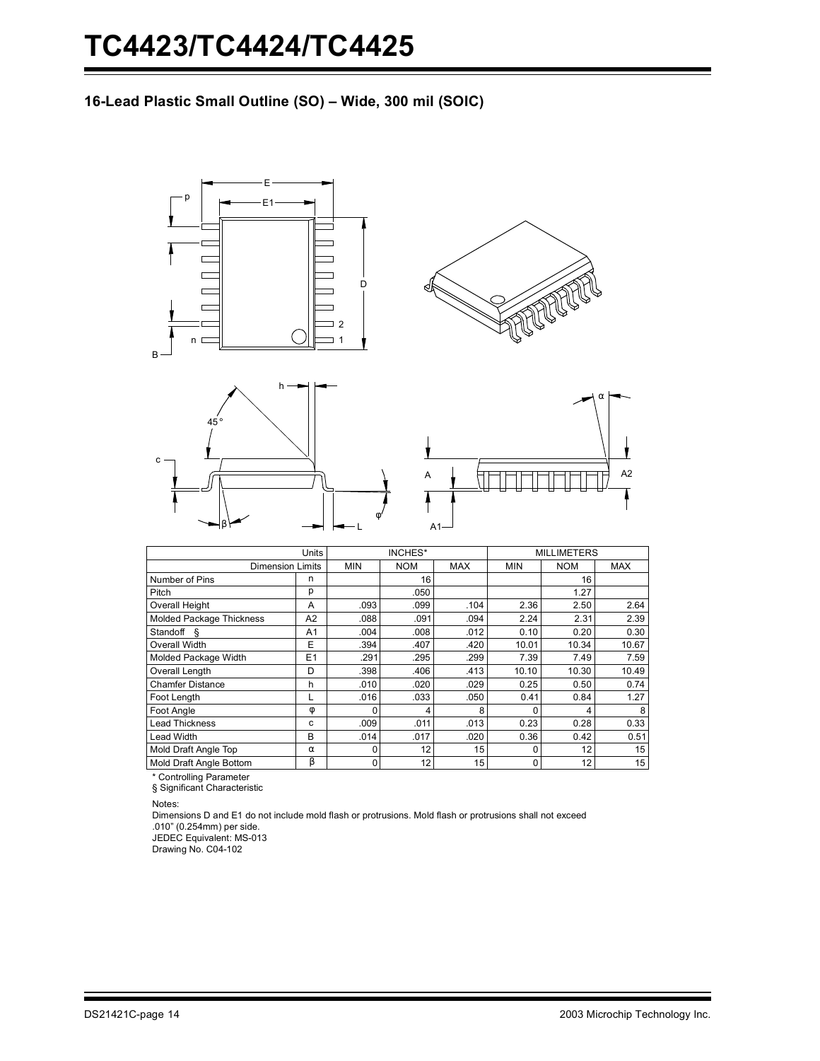**16-Lead Plastic Small Outline (SO) – Wide, 300 mil (SOIC)** 



|                                 | <b>Units</b>   | INCHES*    |            |            | <b>MILLIMETERS</b> |            |            |
|---------------------------------|----------------|------------|------------|------------|--------------------|------------|------------|
| <b>Dimension Limits</b>         |                | <b>MIN</b> | <b>NOM</b> | <b>MAX</b> | <b>MIN</b>         | <b>NOM</b> | <b>MAX</b> |
| Number of Pins                  | n              |            | 16         |            |                    | 16         |            |
| Pitch                           | р              |            | .050       |            |                    | 1.27       |            |
| Overall Height                  | A              | .093       | .099       | .104       | 2.36               | 2.50       | 2.64       |
| <b>Molded Package Thickness</b> | A2             | 880.       | .091       | .094       | 2.24               | 2.31       | 2.39       |
| Standoff &                      | A <sub>1</sub> | .004       | .008       | .012       | 0.10               | 0.20       | 0.30       |
| Overall Width                   | E              | .394       | .407       | .420       | 10.01              | 10.34      | 10.67      |
| Molded Package Width            | E1             | .291       | .295       | .299       | 7.39               | 7.49       | 7.59       |
| Overall Length                  | D              | .398       | .406       | .413       | 10.10              | 10.30      | 10.49      |
| <b>Chamfer Distance</b>         | h              | .010       | .020       | .029       | 0.25               | 0.50       | 0.74       |
| Foot Length                     | L              | .016       | .033       | .050       | 0.41               | 0.84       | 1.27       |
| Foot Angle                      | φ              | n          | 4          | 8          | O                  | Δ          | 8          |
| <b>Lead Thickness</b>           | c              | .009       | .011       | .013       | 0.23               | 0.28       | 0.33       |
| Lead Width                      | B              | .014       | .017       | .020       | 0.36               | 0.42       | 0.51       |
| Mold Draft Angle Top            | $\alpha$       | 0          | 12         | 15         | 0                  | 12         | 15         |
| Mold Draft Angle Bottom         | β              | 0          | 12         | 15         | 0                  | 12         | 15         |

\* Controlling Parameter

§ Significant Characteristic

Notes:

Dimensions D and E1 do not include mold flash or protrusions. Mold flash or protrusions shall not exceed .010" (0.254mm) per side.

JEDEC Equivalent: MS-013

Drawing No. C04-102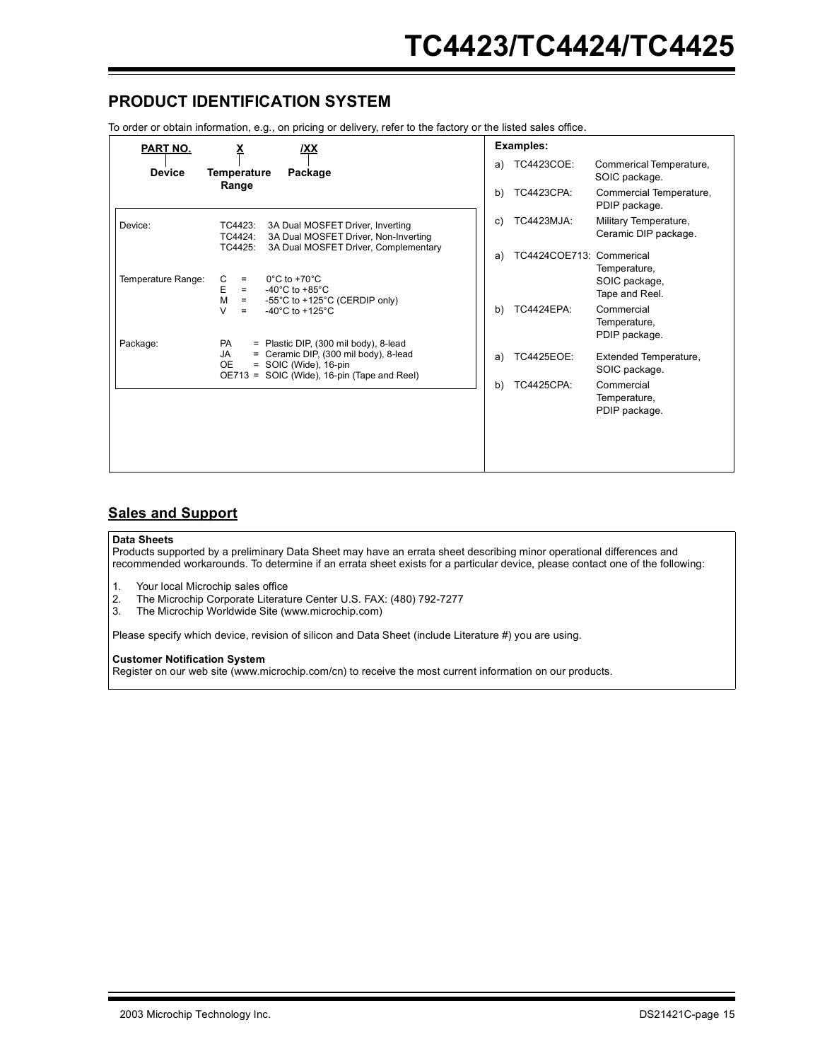## **PRODUCT IDENTIFICATION SYSTEM**

To order or obtain information, e.g., on pricing or delivery, refer to the factory or the listed sales office.

| <b>PART NO.</b>    | /XX                                                                                                                                                                        | Examples:                                                              |
|--------------------|----------------------------------------------------------------------------------------------------------------------------------------------------------------------------|------------------------------------------------------------------------|
| <b>Device</b>      | Temperature<br>Package                                                                                                                                                     | TC4423COE:<br>Commerical Temperature,<br>a)<br>SOIC package.           |
|                    | Range                                                                                                                                                                      | TC4423CPA:<br>b)<br>Commercial Temperature,<br>PDIP package.           |
| Device:            | 3A Dual MOSFET Driver, Inverting<br>TC4423:<br>TC4424:<br>3A Dual MOSFET Driver, Non-Inverting                                                                             | TC4423MJA:<br>Military Temperature,<br>C)<br>Ceramic DIP package.      |
|                    | 3A Dual MOSFET Driver, Complementary<br>TC4425:                                                                                                                            | TC4424COE713: Commerical<br>a)<br>Temperature,                         |
| Temperature Range: | $0^{\circ}$ C to +70 $^{\circ}$ C<br>С<br>$=$<br>Е<br>-40 $^{\circ}$ C to +85 $^{\circ}$ C<br>$=$<br>M<br>-55°C to +125°C (CERDIP only)<br>$=$                             | SOIC package,<br>Tape and Reel.                                        |
|                    | $\vee$<br>-40 $^{\circ}$ C to +125 $^{\circ}$ C<br>$=$                                                                                                                     | TC4424EPA:<br>b)<br>Commercial<br>Temperature,<br>PDIP package.        |
| Package:           | PA<br>= Plastic DIP, (300 mil body), 8-lead<br>= Ceramic DIP, (300 mil body), 8-lead<br>JA<br>0E<br>$=$ SOIC (Wide), 16-pin<br>OE713 = SOIC (Wide), 16-pin (Tape and Reel) | <b>TC4425EOE:</b><br>Extended Temperature,<br>a)<br>SOIC package.      |
|                    |                                                                                                                                                                            | <b>TC4425CPA:</b><br>Commercial<br>b)<br>Temperature,<br>PDIP package. |
|                    |                                                                                                                                                                            |                                                                        |

#### **Sales and Support**

#### **Data Sheets**

Products supported by a preliminary Data Sheet may have an errata sheet describing minor operational differences and recommended workarounds. To determine if an errata sheet exists for a particular device, please contact one of the following:

1. Your local Microchip sales office

- 2. The Microchip Corporate Literature Center U.S. FAX: (480) 792-7277
- 3. The Microchip Worldwide Site (www.microchip.com)

Please specify which device, revision of silicon and Data Sheet (include Literature #) you are using.

#### **Customer Notification System**

Register on our web site (www.microchip.com/cn) to receive the most current information on our products.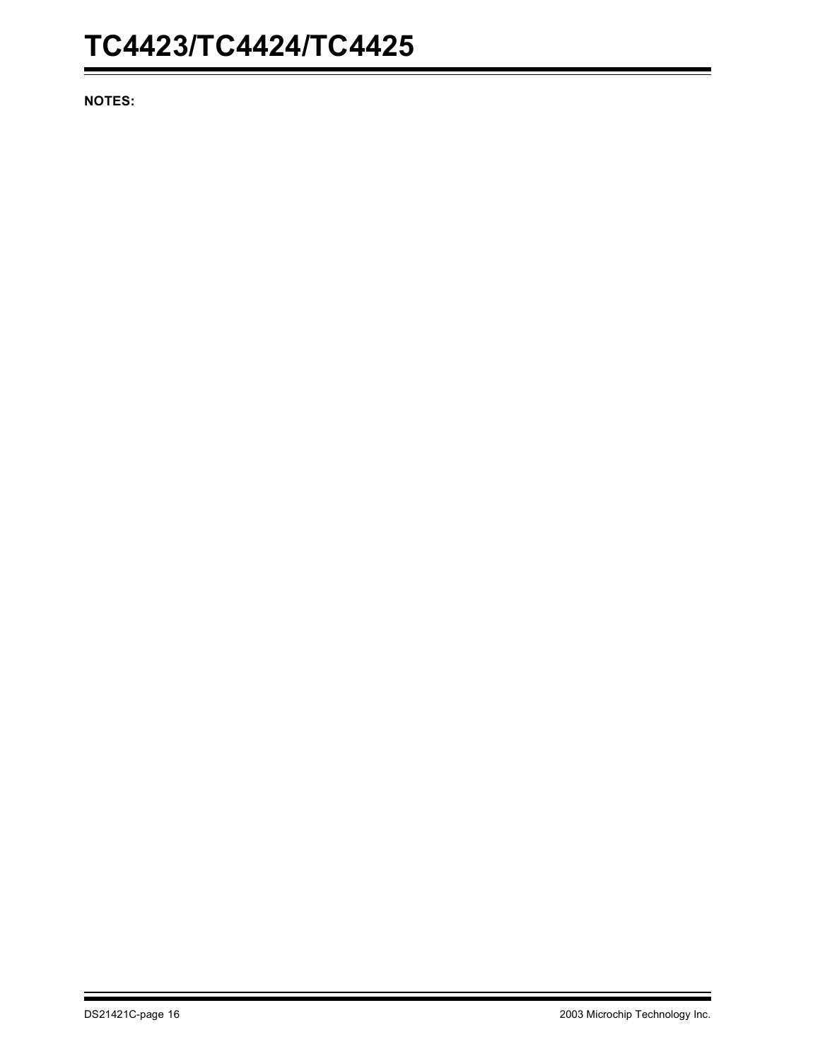**NOTES:**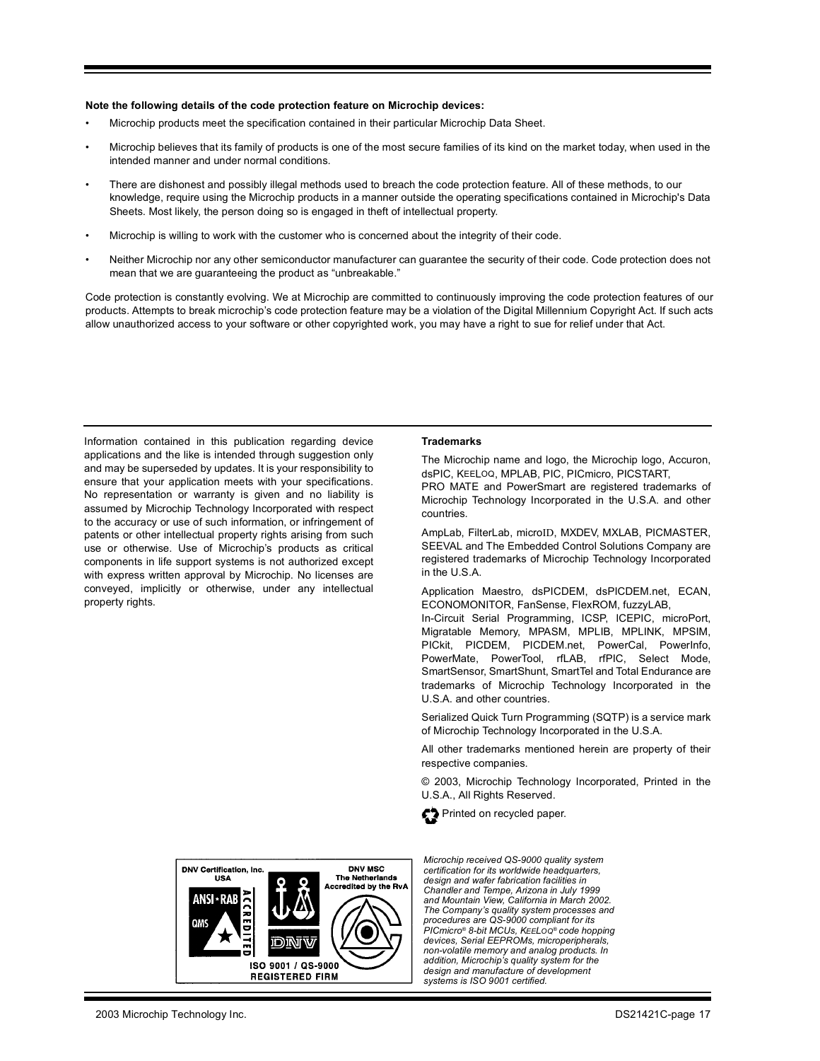#### **Note the following details of the code protection feature on Microchip devices:**

- Microchip products meet the specification contained in their particular Microchip Data Sheet.
- Microchip believes that its family of products is one of the most secure families of its kind on the market today, when used in the intended manner and under normal conditions.
- There are dishonest and possibly illegal methods used to breach the code protection feature. All of these methods, to our knowledge, require using the Microchip products in a manner outside the operating specifications contained in Microchip's Data Sheets. Most likely, the person doing so is engaged in theft of intellectual property.
- Microchip is willing to work with the customer who is concerned about the integrity of their code.
- Neither Microchip nor any other semiconductor manufacturer can guarantee the security of their code. Code protection does not mean that we are guaranteeing the product as "unbreakable."

Code protection is constantly evolving. We at Microchip are committed to continuously improving the code protection features of our products. Attempts to break microchip's code protection feature may be a violation of the Digital Millennium Copyright Act. If such acts allow unauthorized access to your software or other copyrighted work, you may have a right to sue for relief under that Act.

Information contained in this publication regarding device applications and the like is intended through suggestion only and may be superseded by updates. It is your responsibility to ensure that your application meets with your specifications. No representation or warranty is given and no liability is assumed by Microchip Technology Incorporated with respect to the accuracy or use of such information, or infringement of patents or other intellectual property rights arising from such use or otherwise. Use of Microchip's products as critical components in life support systems is not authorized except with express written approval by Microchip. No licenses are conveyed, implicitly or otherwise, under any intellectual property rights.

#### **Trademarks**

The Microchip name and logo, the Microchip logo, Accuron, dsPIC, KEELOQ, MPLAB, PIC, PICmicro, PICSTART,

PRO MATE and PowerSmart are registered trademarks of Microchip Technology Incorporated in the U.S.A. and other countries.

AmpLab, FilterLab, microID, MXDEV, MXLAB, PICMASTER, SEEVAL and The Embedded Control Solutions Company are registered trademarks of Microchip Technology Incorporated in the U.S.A.

Application Maestro, dsPICDEM, dsPICDEM.net, ECAN, ECONOMONITOR, FanSense, FlexROM, fuzzyLAB,

In-Circuit Serial Programming, ICSP, ICEPIC, microPort, Migratable Memory, MPASM, MPLIB, MPLINK, MPSIM, PICkit, PICDEM, PICDEM.net, PowerCal, PowerInfo, PowerMate, PowerTool, rfLAB, rfPIC, Select Mode, SmartSensor, SmartShunt, SmartTel and Total Endurance are trademarks of Microchip Technology Incorporated in the U.S.A. and other countries.

Serialized Quick Turn Programming (SQTP) is a service mark of Microchip Technology Incorporated in the U.S.A.

All other trademarks mentioned herein are property of their respective companies.

© 2003, Microchip Technology Incorporated, Printed in the U.S.A., All Rights Reserved.





*Microchip received QS-9000 quality system certification for its worldwide headquarters, design and wafer fabrication facilities in Chandler and Tempe, Arizona in July 1999 and Mountain View, California in March 2002. The Company's quality system processes and procedures are QS-9000 compliant for its PICmicro® 8-bit MCUs, KEELOQ® code hopping devices, Serial EEPROMs, microperipherals, non-volatile memory and analog products. In addition, Microchip's quality system for the design and manufacture of development systems is ISO 9001 certified.*